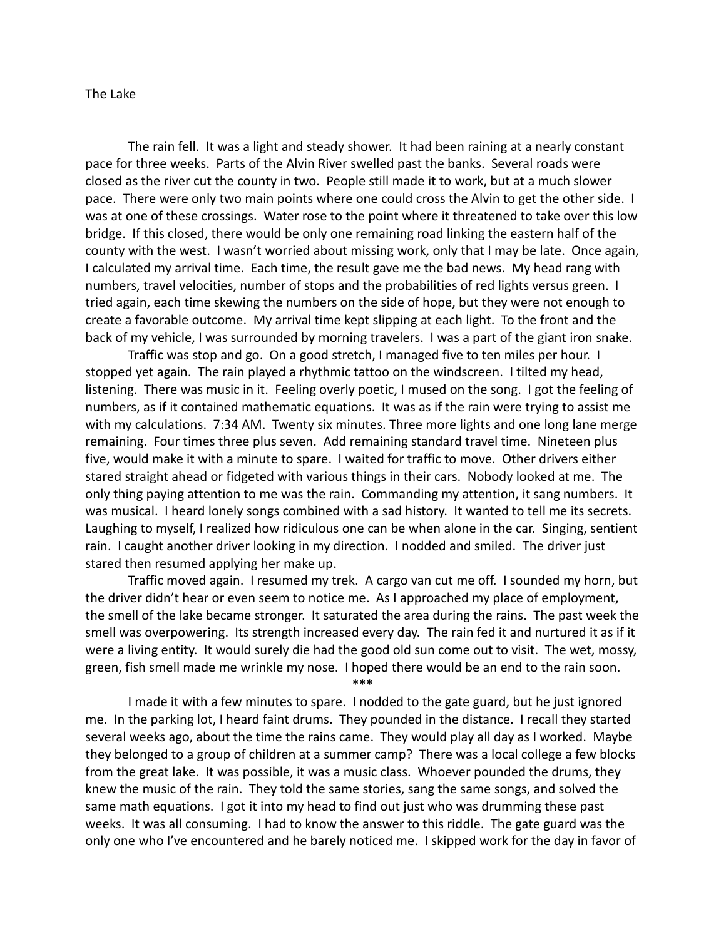## The Lake

The rain fell. It was a light and steady shower. It had been raining at a nearly constant pace for three weeks. Parts of the Alvin River swelled past the banks. Several roads were closed as the river cut the county in two. People still made it to work, but at a much slower pace. There were only two main points where one could cross the Alvin to get the other side. I was at one of these crossings. Water rose to the point where it threatened to take over this low bridge. If this closed, there would be only one remaining road linking the eastern half of the county with the west. I wasn't worried about missing work, only that I may be late. Once again, I calculated my arrival time. Each time, the result gave me the bad news. My head rang with numbers, travel velocities, number of stops and the probabilities of red lights versus green. I tried again, each time skewing the numbers on the side of hope, but they were not enough to create a favorable outcome. My arrival time kept slipping at each light. To the front and the back of my vehicle, I was surrounded by morning travelers. I was a part of the giant iron snake.

Traffic was stop and go. On a good stretch, I managed five to ten miles per hour. I stopped yet again. The rain played a rhythmic tattoo on the windscreen. I tilted my head, listening. There was music in it. Feeling overly poetic, I mused on the song. I got the feeling of numbers, as if it contained mathematic equations. It was as if the rain were trying to assist me with my calculations. 7:34 AM. Twenty six minutes. Three more lights and one long lane merge remaining. Four times three plus seven. Add remaining standard travel time. Nineteen plus five, would make it with a minute to spare. I waited for traffic to move. Other drivers either stared straight ahead or fidgeted with various things in their cars. Nobody looked at me. The only thing paying attention to me was the rain. Commanding my attention, it sang numbers. It was musical. I heard lonely songs combined with a sad history. It wanted to tell me its secrets. Laughing to myself, I realized how ridiculous one can be when alone in the car. Singing, sentient rain. I caught another driver looking in my direction. I nodded and smiled. The driver just stared then resumed applying her make up.

Traffic moved again. I resumed my trek. A cargo van cut me off. I sounded my horn, but the driver didn't hear or even seem to notice me. As I approached my place of employment, the smell of the lake became stronger. It saturated the area during the rains. The past week the smell was overpowering. Its strength increased every day. The rain fed it and nurtured it as if it were a living entity. It would surely die had the good old sun come out to visit. The wet, mossy, green, fish smell made me wrinkle my nose. I hoped there would be an end to the rain soon.

\*\*\*

I made it with a few minutes to spare. I nodded to the gate guard, but he just ignored me. In the parking lot, I heard faint drums. They pounded in the distance. I recall they started several weeks ago, about the time the rains came. They would play all day as I worked. Maybe they belonged to a group of children at a summer camp? There was a local college a few blocks from the great lake. It was possible, it was a music class. Whoever pounded the drums, they knew the music of the rain. They told the same stories, sang the same songs, and solved the same math equations. I got it into my head to find out just who was drumming these past weeks. It was all consuming. I had to know the answer to this riddle. The gate guard was the only one who I've encountered and he barely noticed me. I skipped work for the day in favor of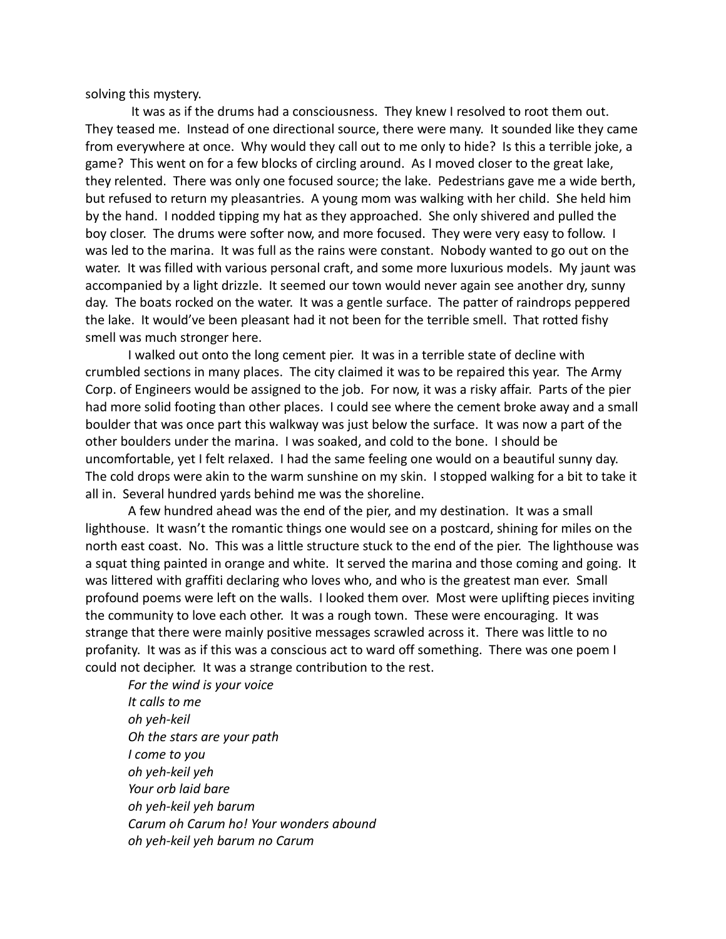solving this mystery.

It was as if the drums had a consciousness. They knew I resolved to root them out. They teased me. Instead of one directional source, there were many. It sounded like they came from everywhere at once. Why would they call out to me only to hide? Is this a terrible joke, a game? This went on for a few blocks of circling around. As I moved closer to the great lake, they relented. There was only one focused source; the lake. Pedestrians gave me a wide berth, but refused to return my pleasantries. A young mom was walking with her child. She held him by the hand. I nodded tipping my hat as they approached. She only shivered and pulled the boy closer. The drums were softer now, and more focused. They were very easy to follow. I was led to the marina. It was full as the rains were constant. Nobody wanted to go out on the water. It was filled with various personal craft, and some more luxurious models. My jaunt was accompanied by a light drizzle. It seemed our town would never again see another dry, sunny day. The boats rocked on the water. It was a gentle surface. The patter of raindrops peppered the lake. It would've been pleasant had it not been for the terrible smell. That rotted fishy smell was much stronger here.

I walked out onto the long cement pier. It was in a terrible state of decline with crumbled sections in many places. The city claimed it was to be repaired this year. The Army Corp. of Engineers would be assigned to the job. For now, it was a risky affair. Parts of the pier had more solid footing than other places. I could see where the cement broke away and a small boulder that was once part this walkway was just below the surface. It was now a part of the other boulders under the marina. I was soaked, and cold to the bone. I should be uncomfortable, yet I felt relaxed. I had the same feeling one would on a beautiful sunny day. The cold drops were akin to the warm sunshine on my skin. I stopped walking for a bit to take it all in. Several hundred yards behind me was the shoreline.

A few hundred ahead was the end of the pier, and my destination. It was a small lighthouse. It wasn't the romantic things one would see on a postcard, shining for miles on the north east coast. No. This was a little structure stuck to the end of the pier. The lighthouse was a squat thing painted in orange and white. It served the marina and those coming and going. It was littered with graffiti declaring who loves who, and who is the greatest man ever. Small profound poems were left on the walls. I looked them over. Most were uplifting pieces inviting the community to love each other. It was a rough town. These were encouraging. It was strange that there were mainly positive messages scrawled across it. There was little to no profanity. It was as if this was a conscious act to ward off something. There was one poem I could not decipher. It was a strange contribution to the rest.

*For the wind is your voice It calls to me oh yeh-keil Oh the stars are your path I come to you oh yeh-keil yeh Your orb laid bare oh yeh-keil yeh barum Carum oh Carum ho! Your wonders abound oh yeh-keil yeh barum no Carum*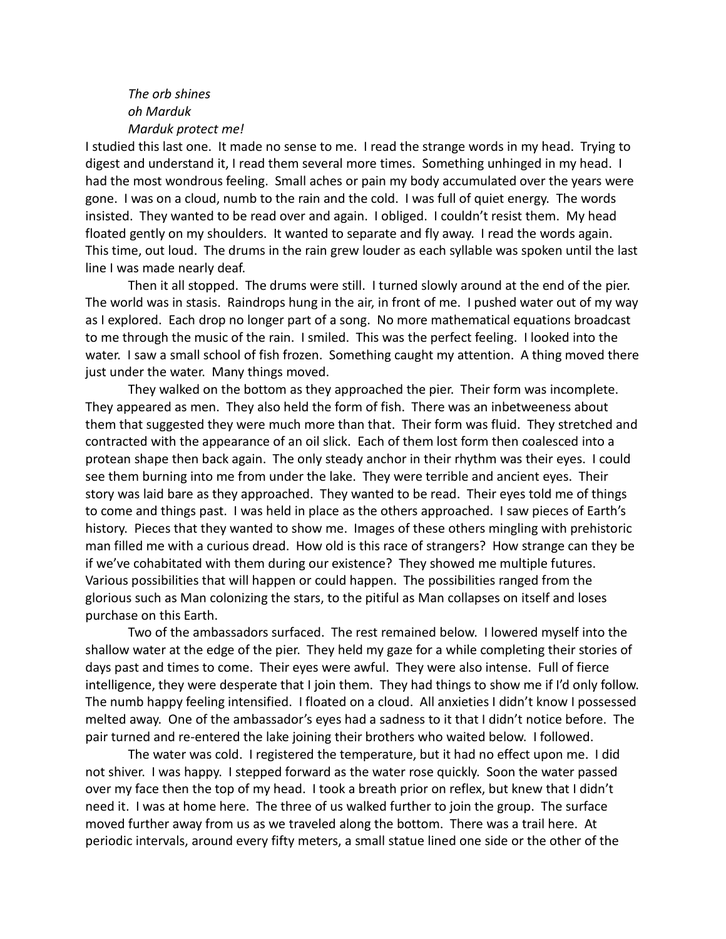## *The orb shines oh Marduk Marduk protect me!*

I studied this last one. It made no sense to me. I read the strange words in my head. Trying to digest and understand it, I read them several more times. Something unhinged in my head. I had the most wondrous feeling. Small aches or pain my body accumulated over the years were gone. I was on a cloud, numb to the rain and the cold. I was full of quiet energy. The words insisted. They wanted to be read over and again. I obliged. I couldn't resist them. My head floated gently on my shoulders. It wanted to separate and fly away. I read the words again. This time, out loud. The drums in the rain grew louder as each syllable was spoken until the last line I was made nearly deaf.

Then it all stopped. The drums were still. I turned slowly around at the end of the pier. The world was in stasis. Raindrops hung in the air, in front of me. I pushed water out of my way as I explored. Each drop no longer part of a song. No more mathematical equations broadcast to me through the music of the rain. I smiled. This was the perfect feeling. I looked into the water. I saw a small school of fish frozen. Something caught my attention. A thing moved there just under the water. Many things moved.

They walked on the bottom as they approached the pier. Their form was incomplete. They appeared as men. They also held the form of fish. There was an inbetweeness about them that suggested they were much more than that. Their form was fluid. They stretched and contracted with the appearance of an oil slick. Each of them lost form then coalesced into a protean shape then back again. The only steady anchor in their rhythm was their eyes. I could see them burning into me from under the lake. They were terrible and ancient eyes. Their story was laid bare as they approached. They wanted to be read. Their eyes told me of things to come and things past. I was held in place as the others approached. I saw pieces of Earth's history. Pieces that they wanted to show me. Images of these others mingling with prehistoric man filled me with a curious dread. How old is this race of strangers? How strange can they be if we've cohabitated with them during our existence? They showed me multiple futures. Various possibilities that will happen or could happen. The possibilities ranged from the glorious such as Man colonizing the stars, to the pitiful as Man collapses on itself and loses purchase on this Earth.

Two of the ambassadors surfaced. The rest remained below. I lowered myself into the shallow water at the edge of the pier. They held my gaze for a while completing their stories of days past and times to come. Their eyes were awful. They were also intense. Full of fierce intelligence, they were desperate that I join them. They had things to show me if I'd only follow. The numb happy feeling intensified. I floated on a cloud. All anxieties I didn't know I possessed melted away. One of the ambassador's eyes had a sadness to it that I didn't notice before. The pair turned and re-entered the lake joining their brothers who waited below. I followed.

The water was cold. I registered the temperature, but it had no effect upon me. I did not shiver. I was happy. I stepped forward as the water rose quickly. Soon the water passed over my face then the top of my head. I took a breath prior on reflex, but knew that I didn't need it. I was at home here. The three of us walked further to join the group. The surface moved further away from us as we traveled along the bottom. There was a trail here. At periodic intervals, around every fifty meters, a small statue lined one side or the other of the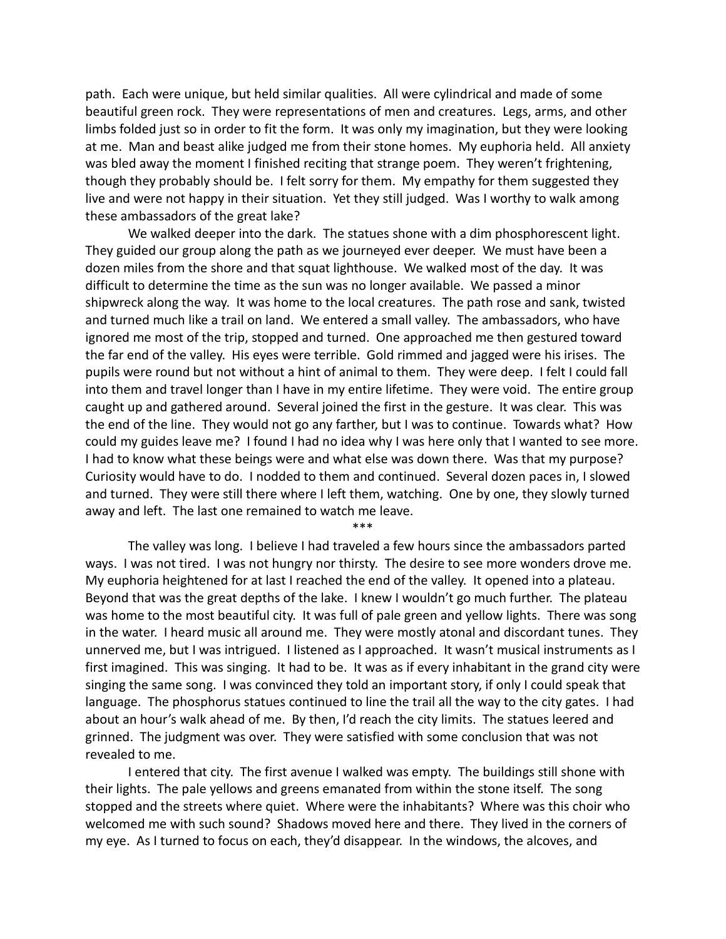path. Each were unique, but held similar qualities. All were cylindrical and made of some beautiful green rock. They were representations of men and creatures. Legs, arms, and other limbs folded just so in order to fit the form. It was only my imagination, but they were looking at me. Man and beast alike judged me from their stone homes. My euphoria held. All anxiety was bled away the moment I finished reciting that strange poem. They weren't frightening, though they probably should be. I felt sorry for them. My empathy for them suggested they live and were not happy in their situation. Yet they still judged. Was I worthy to walk among these ambassadors of the great lake?

We walked deeper into the dark. The statues shone with a dim phosphorescent light. They guided our group along the path as we journeyed ever deeper. We must have been a dozen miles from the shore and that squat lighthouse. We walked most of the day. It was difficult to determine the time as the sun was no longer available. We passed a minor shipwreck along the way. It was home to the local creatures. The path rose and sank, twisted and turned much like a trail on land. We entered a small valley. The ambassadors, who have ignored me most of the trip, stopped and turned. One approached me then gestured toward the far end of the valley. His eyes were terrible. Gold rimmed and jagged were his irises. The pupils were round but not without a hint of animal to them. They were deep. I felt I could fall into them and travel longer than I have in my entire lifetime. They were void. The entire group caught up and gathered around. Several joined the first in the gesture. It was clear. This was the end of the line. They would not go any farther, but I was to continue. Towards what? How could my guides leave me? I found I had no idea why I was here only that I wanted to see more. I had to know what these beings were and what else was down there. Was that my purpose? Curiosity would have to do. I nodded to them and continued. Several dozen paces in, I slowed and turned. They were still there where I left them, watching. One by one, they slowly turned away and left. The last one remained to watch me leave.

\*\*\*

The valley was long. I believe I had traveled a few hours since the ambassadors parted ways. I was not tired. I was not hungry nor thirsty. The desire to see more wonders drove me. My euphoria heightened for at last I reached the end of the valley. It opened into a plateau. Beyond that was the great depths of the lake. I knew I wouldn't go much further. The plateau was home to the most beautiful city. It was full of pale green and yellow lights. There was song in the water. I heard music all around me. They were mostly atonal and discordant tunes. They unnerved me, but I was intrigued. I listened as I approached. It wasn't musical instruments as I first imagined. This was singing. It had to be. It was as if every inhabitant in the grand city were singing the same song. I was convinced they told an important story, if only I could speak that language. The phosphorus statues continued to line the trail all the way to the city gates. I had about an hour's walk ahead of me. By then, I'd reach the city limits. The statues leered and grinned. The judgment was over. They were satisfied with some conclusion that was not revealed to me.

I entered that city. The first avenue I walked was empty. The buildings still shone with their lights. The pale yellows and greens emanated from within the stone itself. The song stopped and the streets where quiet. Where were the inhabitants? Where was this choir who welcomed me with such sound? Shadows moved here and there. They lived in the corners of my eye. As I turned to focus on each, they'd disappear. In the windows, the alcoves, and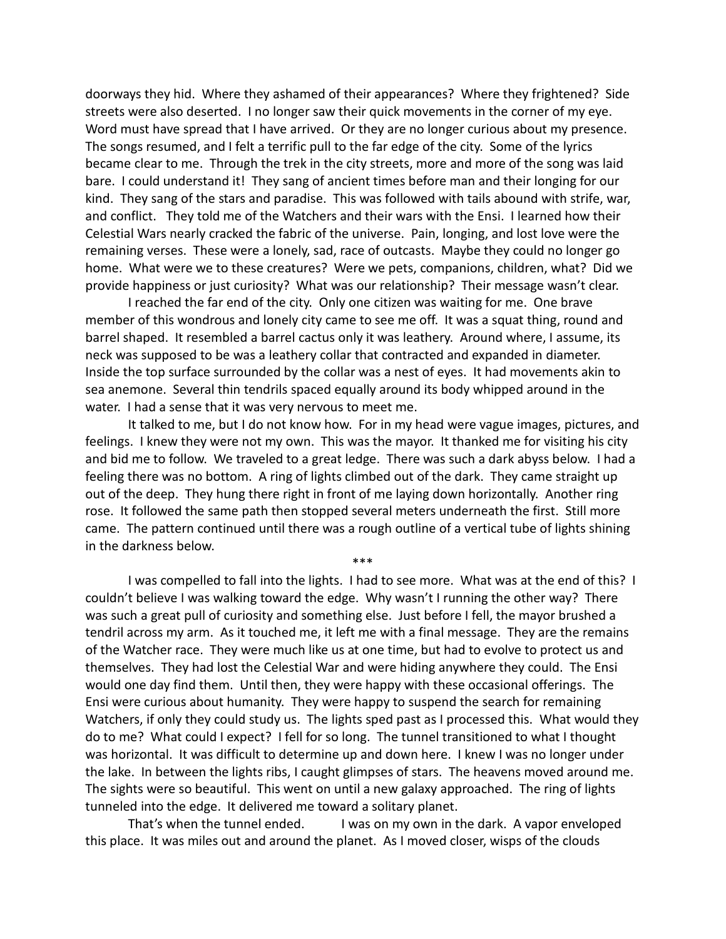doorways they hid. Where they ashamed of their appearances? Where they frightened? Side streets were also deserted. I no longer saw their quick movements in the corner of my eye. Word must have spread that I have arrived. Or they are no longer curious about my presence. The songs resumed, and I felt a terrific pull to the far edge of the city. Some of the lyrics became clear to me. Through the trek in the city streets, more and more of the song was laid bare. I could understand it! They sang of ancient times before man and their longing for our kind. They sang of the stars and paradise. This was followed with tails abound with strife, war, and conflict. They told me of the Watchers and their wars with the Ensi. I learned how their Celestial Wars nearly cracked the fabric of the universe. Pain, longing, and lost love were the remaining verses. These were a lonely, sad, race of outcasts. Maybe they could no longer go home. What were we to these creatures? Were we pets, companions, children, what? Did we provide happiness or just curiosity? What was our relationship? Their message wasn't clear.

I reached the far end of the city. Only one citizen was waiting for me. One brave member of this wondrous and lonely city came to see me off. It was a squat thing, round and barrel shaped. It resembled a barrel cactus only it was leathery. Around where, I assume, its neck was supposed to be was a leathery collar that contracted and expanded in diameter. Inside the top surface surrounded by the collar was a nest of eyes. It had movements akin to sea anemone. Several thin tendrils spaced equally around its body whipped around in the water. I had a sense that it was very nervous to meet me.

It talked to me, but I do not know how. For in my head were vague images, pictures, and feelings. I knew they were not my own. This was the mayor. It thanked me for visiting his city and bid me to follow. We traveled to a great ledge. There was such a dark abyss below. I had a feeling there was no bottom. A ring of lights climbed out of the dark. They came straight up out of the deep. They hung there right in front of me laying down horizontally. Another ring rose. It followed the same path then stopped several meters underneath the first. Still more came. The pattern continued until there was a rough outline of a vertical tube of lights shining in the darkness below.

\*\*\*

I was compelled to fall into the lights. I had to see more. What was at the end of this? I couldn't believe I was walking toward the edge. Why wasn't I running the other way? There was such a great pull of curiosity and something else. Just before I fell, the mayor brushed a tendril across my arm. As it touched me, it left me with a final message. They are the remains of the Watcher race. They were much like us at one time, but had to evolve to protect us and themselves. They had lost the Celestial War and were hiding anywhere they could. The Ensi would one day find them. Until then, they were happy with these occasional offerings. The Ensi were curious about humanity. They were happy to suspend the search for remaining Watchers, if only they could study us. The lights sped past as I processed this. What would they do to me? What could I expect? I fell for so long. The tunnel transitioned to what I thought was horizontal. It was difficult to determine up and down here. I knew I was no longer under the lake. In between the lights ribs, I caught glimpses of stars. The heavens moved around me. The sights were so beautiful. This went on until a new galaxy approached. The ring of lights tunneled into the edge. It delivered me toward a solitary planet.

That's when the tunnel ended. I was on my own in the dark. A vapor enveloped this place. It was miles out and around the planet. As I moved closer, wisps of the clouds